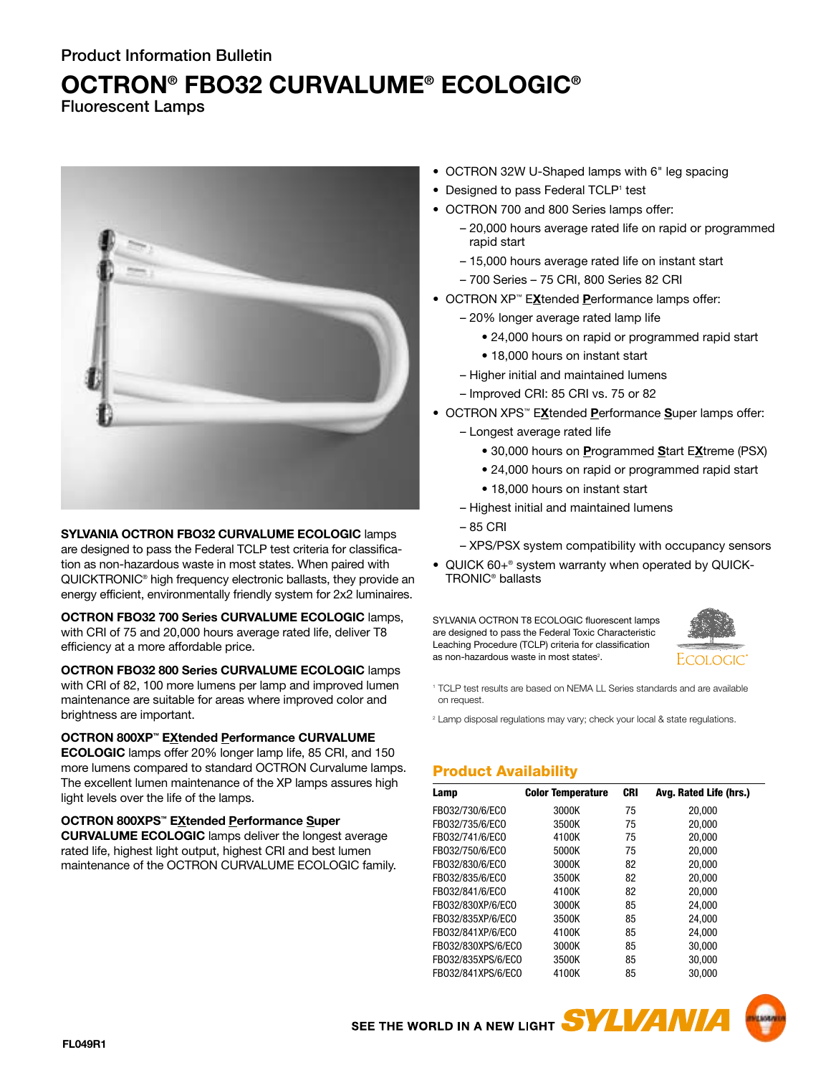# **OCTRON® FBO32 CURVALUME® ECOLOGIC®**

**Fluorescent Lamps**



**SYLVANIA OCTRON FBO32 CURVALUME ECOLOGIC** lamps are designed to pass the Federal TCLP test criteria for classification as non-hazardous waste in most states. When paired with QUICKTRONIC® high frequency electronic ballasts, they provide an energy efficient, environmentally friendly system for 2x2 luminaires.

**OCTRON FBO32 700 Series CURVALUME ECOLOGIC** lamps, with CRI of 75 and 20,000 hours average rated life, deliver T8 efficiency at a more affordable price.

**OCTRON FBO32 800 Series CURVALUME ECOLOGIC** lamps with CRI of 82, 100 more lumens per lamp and improved lumen maintenance are suitable for areas where improved color and brightness are important.

## **OCTRON 800XP™ EXtended Performance CURVALUME**

**ECOLOGIC** lamps offer 20% longer lamp life, 85 CRI, and 150 more lumens compared to standard OCTRON Curvalume lamps. The excellent lumen maintenance of the XP lamps assures high light levels over the life of the lamps.

**OCTRON 800XPS™ EXtended Performance Super**

**CURVALUME ECOLOGIC** lamps deliver the longest average rated life, highest light output, highest CRI and best lumen maintenance of the OCTRON CURVALUME ECOLOGIC family.

- OCTRON 32W U-Shaped lamps with 6" leg spacing
- Designed to pass Federal TCLP<sup>1</sup> test
- OCTRON 700 and 800 Series lamps offer:
	- 20,000 hours average rated life on rapid or programmed rapid start
	- 15,000 hours average rated life on instant start
	- 700 Series 75 CRI, 800 Series 82 CRI
- OCTRON XP™ E**X**tended **P**erformance lamps offer:
	- 20% longer average rated lamp life
		- 24,000 hours on rapid or programmed rapid start
		- 18,000 hours on instant start
	- Higher initial and maintained lumens
	- Improved CRI: 85 CRI vs. 75 or 82
- OCTRON XPS™ E**X**tended **P**erformance **S**uper lamps offer:
	- Longest average rated life
		- 30,000 hours on **P**rogrammed **S**tart E**X**treme (PSX)
		- 24,000 hours on rapid or programmed rapid start
		- 18,000 hours on instant start
	- Highest initial and maintained lumens
	- 85 CRI
	- XPS/PSX system compatibility with occupancy sensors
- QUICK 60+® system warranty when operated by QUICK-TRONIC® ballasts

SYLVANIA OCTRON T8 ECOLOGIC fluorescent lamps are designed to pass the Federal Toxic Characteristic Leaching Procedure (TCLP) criteria for classification as non-hazardous waste in most states<sup>2</sup>.



<sup>1</sup> TCLP test results are based on NEMA LL Series standards and are available on request.

<sup>2</sup> Lamp disposal regulations may vary; check your local & state regulations.

# **Product Availability**

SEE THE WORLD IN A NEW LIGHT **SYLVANIA** 

| Lamp               | <b>Color Temperature</b> | <b>CRI</b> | Avg. Rated Life (hrs.) |
|--------------------|--------------------------|------------|------------------------|
| FB032/730/6/ECO    | 3000K                    | 75         | 20,000                 |
| FB032/735/6/ECO    | 3500K                    | 75         | 20.000                 |
| FB032/741/6/ECO    | 4100K                    | 75         | 20.000                 |
| FB032/750/6/ECO    | 5000K                    | 75         | 20.000                 |
| FB032/830/6/EC0    | 3000K                    | 82         | 20,000                 |
| FB032/835/6/ECO    | 3500K                    | 82         | 20,000                 |
| FB032/841/6/ECO    | 4100K                    | 82         | 20.000                 |
| FB032/830XP/6/ECO  | 3000K                    | 85         | 24.000                 |
| FB032/835XP/6/EC0  | 3500K                    | 85         | 24,000                 |
| FB032/841XP/6/EC0  | 4100K                    | 85         | 24.000                 |
| FB032/830XPS/6/ECO | 3000K                    | 85         | 30,000                 |
| FB032/835XPS/6/EC0 | 3500K                    | 85         | 30.000                 |
| FB032/841XPS/6/EC0 | 4100K                    | 85         | 30.000                 |

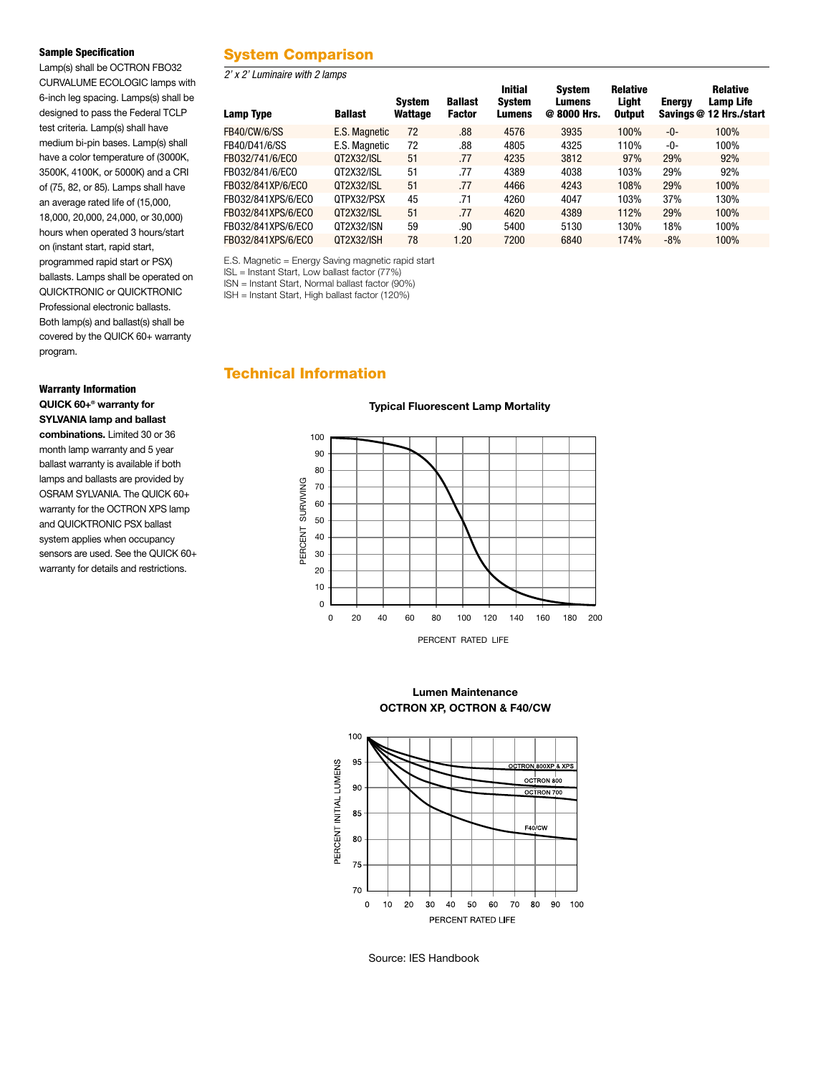#### **Sample Specification**

Lamp(s) shall be OCTRON FBO32 CURVALUME ECOLOGIC lamps with 6-inch leg spacing. Lamps(s) shall be designed to pass the Federal TCLP test criteria. Lamp(s) shall have medium bi-pin bases. Lamp(s) shall have a color temperature of (3000K, 3500K, 4100K, or 5000K) and a CRI of (75, 82, or 85). Lamps shall have an average rated life of (15,000, 18,000, 20,000, 24,000, or 30,000) hours when operated 3 hours/start on (instant start, rapid start, programmed rapid start or PSX) ballasts. Lamps shall be operated on QUICKTRONIC or QUICKTRONIC Professional electronic ballasts. Both lamp(s) and ballast(s) shall be covered by the QUICK 60+ warranty program.

## **Warranty Information QUICK 60+® warranty for SYLVANIA lamp and ballast**

**combinations.** Limited 30 or 36 month lamp warranty and 5 year ballast warranty is available if both lamps and ballasts are provided by OSRAM SYLVANIA. The QUICK 60+ warranty for the OCTRON XPS lamp and QUICKTRONIC PSX ballast system applies when occupancy sensors are used. See the QUICK 60+ warranty for details and restrictions.

# **System Comparison**

*2' x 2' Luminaire with 2 lamps* 

| Lamp Type           | <b>Ballast</b> | <b>System</b><br>Wattage | <b>Ballast</b><br><b>Factor</b> | <b>Initial</b><br><b>System</b><br>Lumens | Svstem<br>Lumens<br>@ 8000 Hrs. | <b>Relative</b><br>Light<br><b>Output</b> | <b>Energy</b> | <b>Relative</b><br>Lamp Life<br>Savings @ 12 Hrs./start |
|---------------------|----------------|--------------------------|---------------------------------|-------------------------------------------|---------------------------------|-------------------------------------------|---------------|---------------------------------------------------------|
| <b>FB40/CW/6/SS</b> | E.S. Magnetic  | 72                       | .88                             | 4576                                      | 3935                            | 100%                                      | -0-           | 100%                                                    |
| FB40/D41/6/SS       | E.S. Magnetic  | 72                       | .88                             | 4805                                      | 4325                            | 110%                                      | -0-           | 100%                                                    |
| FB032/741/6/ECO     | 0T2X32/ISL     | 51                       | .77                             | 4235                                      | 3812                            | 97%                                       | 29%           | 92%                                                     |
| FB032/841/6/ECO     | 0T2X32/ISL     | 51                       | .77                             | 4389                                      | 4038                            | 103%                                      | 29%           | 92%                                                     |
| FB032/841XP/6/ECO   | 0T2X32/ISL     | 51                       | .77                             | 4466                                      | 4243                            | 108%                                      | 29%           | 100%                                                    |
| FB032/841XPS/6/EC0  | QTPX32/PSX     | 45                       | .71                             | 4260                                      | 4047                            | 103%                                      | 37%           | 130%                                                    |
| FB032/841XPS/6/EC0  | 0T2X32/ISL     | 51                       | .77                             | 4620                                      | 4389                            | 112%                                      | 29%           | 100%                                                    |
| FB032/841XPS/6/EC0  | 0T2X32/ISN     | 59                       | .90                             | 5400                                      | 5130                            | 130%                                      | 18%           | 100%                                                    |
| FB032/841XPS/6/EC0  | 0T2X32/ISH     | 78                       | 1.20                            | 7200                                      | 6840                            | 174%                                      | $-8%$         | 100%                                                    |

E.S. Magnetic = Energy Saving magnetic rapid start

ISL = Instant Start, Low ballast factor (77%)

ISN = Instant Start, Normal ballast factor (90%)

ISH = Instant Start, High ballast factor (120%)

## **Technical Information**

#### **Typical Fluorescent Lamp Mortality**



**Lumen Maintenance OCTRON XP, OCTRON & F40/CW**



Source: IES Handbook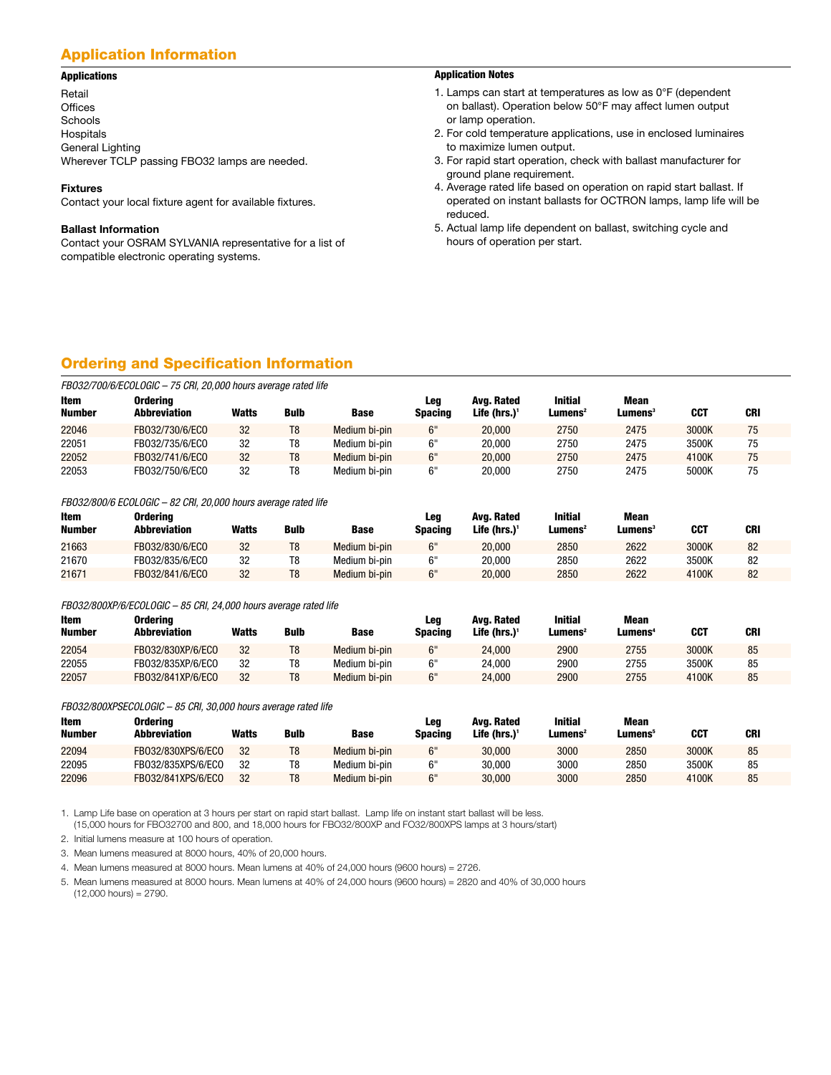## **Application Information**

#### **Applications**

Retail **Offices** Schools Hospitals General Lighting Wherever TCLP passing FBO32 lamps are needed.

#### **Fixtures**

Contact your local fixture agent for available fixtures.

#### **Ballast Information**

Contact your OSRAM SYLVANIA representative for a list of compatible electronic operating systems.

#### **Application Notes**

- 1. Lamps can start at temperatures as low as 0°F (dependent on ballast). Operation below 50°F may affect lumen output or lamp operation.
- 2. For cold temperature applications, use in enclosed luminaires to maximize lumen output.
- 3. For rapid start operation, check with ballast manufacturer for ground plane requirement.
- 4. Average rated life based on operation on rapid start ballast. If operated on instant ballasts for OCTRON lamps, lamp life will be reduced.
- 5. Actual lamp life dependent on ballast, switching cycle and hours of operation per start.

# **Ordering and Specification Information**

| FB032/700/6/ECOLOGIC - 75 CRI, 20,000 hours average rated life |                                 |       |                |               |                       |                               |                                          |                                |            |            |
|----------------------------------------------------------------|---------------------------------|-------|----------------|---------------|-----------------------|-------------------------------|------------------------------------------|--------------------------------|------------|------------|
| Item<br><b>Number</b>                                          | <b>Ordering</b><br>Abbreviation | Watts | <b>Bulb</b>    | <b>Base</b>   | Leg<br><b>Spacing</b> | Ava. Rated<br>Life (hrs.) $1$ | <b>Initial</b><br>$L$ umens <sup>2</sup> | Mean<br>$L$ umens <sup>3</sup> | <b>CCT</b> | <b>CRI</b> |
| 22046                                                          | FB032/730/6/ECO                 | 32    | T8             | Medium bi-pin | 6"                    | 20,000                        | 2750                                     | 2475                           | 3000K      | 75         |
| 22051                                                          | FB032/735/6/ECO                 | 32    | T8             | Medium bi-pin | 6"                    | 20.000                        | 2750                                     | 2475                           | 3500K      | 75         |
| 22052                                                          | FB032/741/6/ECO                 | 32    | T <sub>8</sub> | Medium bi-pin | 6"                    | 20,000                        | 2750                                     | 2475                           | 4100K      | 75         |
| 22053                                                          | FB032/750/6/ECO                 | 32    | T8             | Medium bi-pin | 6"                    | 20.000                        | 2750                                     | 2475                           | 5000K      | 75         |

*FBO32/800/6 ECOLOGIC – 82 CRI, 20,000 hours average rated life*

| Item<br><b>Number</b> | Orderina<br>Abbreviation | Watts | <b>Bulb</b>    | Base          | Leg<br>Spacing | Ava. Rated<br>Life (hrs.) $1$ | <b>Initial</b><br>Lumens <sup>2</sup> | Mean<br>Lumens' | <b>CCT</b> | CRI |
|-----------------------|--------------------------|-------|----------------|---------------|----------------|-------------------------------|---------------------------------------|-----------------|------------|-----|
|                       |                          |       |                |               |                |                               |                                       |                 |            |     |
| 21663                 | FB032/830/6/ECO          | 32    | T <sub>8</sub> | Medium bi-pin | 6"             | 20.000                        | 2850                                  | 2622            | 3000K      | 82  |
| 21670                 | FB032/835/6/ECO          | 32    | T8             | Medium bi-pin | 6"             | 20.000                        | 2850                                  | 2622            | 3500K      | 82  |
| 21671                 | FB032/841/6/ECO          | 32    | T <sub>8</sub> | Medium bi-pin | 6"             | 20,000                        | 2850                                  | 2622            | 4100K      | 82  |

#### *FBO32/800XP/6/ECOLOGIC – 85 CRI, 24,000 hours average rated life*

| Item<br><b>Number</b> | Orderina<br><b>Abbreviation</b> | Watts | <b>Bulb</b>    | <b>Base</b>   | Leg<br>Spacing | Ava. Rated<br>Life (hrs.) <sup>1</sup> | <b>Initial</b><br>$L$ umens <sup>2</sup> | <b>Mean</b><br>Lumens <sup>4</sup> | <b>CCT</b> | <b>CRI</b> |
|-----------------------|---------------------------------|-------|----------------|---------------|----------------|----------------------------------------|------------------------------------------|------------------------------------|------------|------------|
| 22054                 | FB032/830XP/6/ECO               | 32    | T8             | Medium bi-pin | 6"             | 24.000                                 | 2900                                     | 2755                               | 3000K      | 85         |
| 22055                 | FB032/835XP/6/ECO               | 32    | T8             | Medium bi-pin |                | 24.000                                 | 2900                                     | 2755                               | 3500K      | 85         |
| 22057                 | FB032/841XP/6/ECO               | 32    | T <sub>8</sub> | Medium bi-pin | 6"             | 24.000                                 | 2900                                     | 2755                               | 4100K      | 85         |

*FBO32/800XPSECOLOGIC – 85 CRI, 30,000 hours average rated life*

| Item<br><b>Number</b> | Orderina<br>Abbreviation | Watts | <b>Bulb</b> | <b>Base</b>   | Leg<br>Spacing | Ava. Rated<br>Life (hrs.) $1$ | <b>Initial</b><br>Lumens <sup>2</sup> | Mean<br><b>Lumens</b> | <b>CCT</b> | <b>CRI</b> |
|-----------------------|--------------------------|-------|-------------|---------------|----------------|-------------------------------|---------------------------------------|-----------------------|------------|------------|
| 22094                 | FB032/830XPS/6/ECO       | 32    | T8          | Medium bi-pin | 6"             | 30,000                        | 3000                                  | 2850                  | 3000K      | 85         |
| 22095                 | FB032/835XPS/6/ECO       | 32    | T8          | Medium bi-pin | 6"             | 30.000                        | 3000                                  | 2850                  | 3500K      | 85         |
| 22096                 | FB032/841XPS/6/ECO       | 32    | T8          | Medium bi-pin | ና"             | 30,000                        | 3000                                  | 2850                  | 4100K      | 85         |

1. Lamp Life base on operation at 3 hours per start on rapid start ballast. Lamp life on instant start ballast will be less. (15,000 hours for FBO32700 and 800, and 18,000 hours for FBO32/800XP and FO32/800XPS lamps at 3 hours/start)

2. Initial lumens measure at 100 hours of operation.

3. Mean lumens measured at 8000 hours, 40% of 20,000 hours.

4. Mean lumens measured at 8000 hours. Mean lumens at 40% of 24,000 hours (9600 hours) = 2726.

5. Mean lumens measured at 8000 hours. Mean lumens at 40% of 24,000 hours (9600 hours) = 2820 and 40% of 30,000 hours  $(12,000$  hours) = 2790.